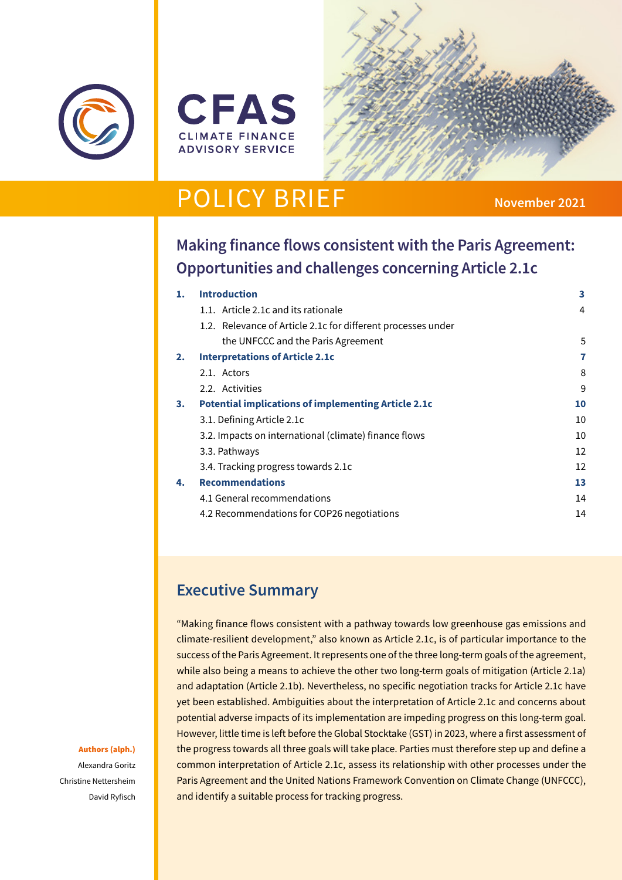





# **POLICY BRIEF** November 2021

# **Making finance flows consistent with the Paris Agreement: Opportunities and challenges concerning Article 2.1c**

| 1. | <b>Introduction</b>                                          | 3  |
|----|--------------------------------------------------------------|----|
|    | 1.1. Article 2.1c and its rationale                          | 4  |
|    | 1.2. Relevance of Article 2.1c for different processes under |    |
|    | the UNFCCC and the Paris Agreement                           | 5  |
| 2. | <b>Interpretations of Article 2.1c</b>                       | 7  |
|    | 2.1. Actors                                                  | 8  |
|    | 2.2. Activities                                              | 9  |
| 3. | <b>Potential implications of implementing Article 2.1c</b>   | 10 |
|    | 3.1. Defining Article 2.1c                                   | 10 |
|    | 3.2. Impacts on international (climate) finance flows        | 10 |
|    | 3.3. Pathways                                                | 12 |
|    | 3.4. Tracking progress towards 2.1c                          | 12 |
| 4. | <b>Recommendations</b>                                       | 13 |
|    | 4.1 General recommendations                                  | 14 |
|    | 4.2 Recommendations for COP26 negotiations                   | 14 |
|    |                                                              |    |

# **Executive Summary**

"Making finance flows consistent with a pathway towards low greenhouse gas emissions and climate-resilient development," also known as Article 2.1c, is of particular importance to the success of the Paris Agreement. It represents one of the three long-term goals of the agreement, while also being a means to achieve the other two long-term goals of mitigation (Article 2.1a) and adaptation (Article 2.1b). Nevertheless, no specific negotiation tracks for Article 2.1c have yet been established. Ambiguities about the interpretation of Article 2.1c and concerns about potential adverse impacts of its implementation are impeding progress on this long-term goal. However, little time is left before the Global Stocktake (GST) in 2023, where a first assessment of the progress towards all three goals will take place. Parties must therefore step up and define a common interpretation of Article 2.1c, assess its relationship with other processes under the Paris Agreement and the United Nations Framework Convention on Climate Change (UNFCCC), and identify a suitable process for tracking progress.

#### Authors (alph.)

Alexandra Goritz Christine Nettersheim David Ryfisch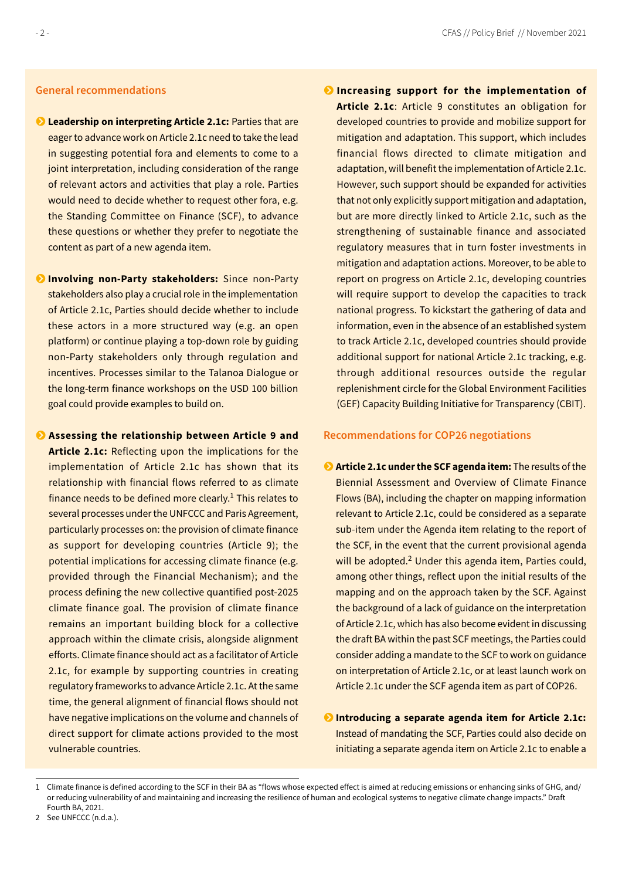### **General recommendations**

- **Leadership on interpreting Article 2.1c: Parties that are** eager to advance work on Article 2.1c need to take the lead in suggesting potential fora and elements to come to a joint interpretation, including consideration of the range of relevant actors and activities that play a role. Parties would need to decide whether to request other fora, e.g. the Standing Committee on Finance (SCF), to advance these questions or whether they prefer to negotiate the content as part of a new agenda item.
- **D** Involving non-Party stakeholders: Since non-Party stakeholders also play a crucial role in the implementation of Article 2.1c, Parties should decide whether to include these actors in a more structured way (e.g. an open platform) or continue playing a top-down role by guiding non-Party stakeholders only through regulation and incentives. Processes similar to the Talanoa Dialogue or the long-term finance workshops on the USD 100 billion goal could provide examples to build on.
- **Assessing the relationship between Article 9 and Article 2.1c:** Reflecting upon the implications for the implementation of Article 2.1c has shown that its relationship with financial flows referred to as climate finance needs to be defined more clearly.<sup>1</sup> This relates to several processes under the UNFCCC and Paris Agreement, particularly processes on: the provision of climate finance as support for developing countries (Article 9); the potential implications for accessing climate finance (e.g. provided through the Financial Mechanism); and the process defining the new collective quantified post-2025 climate finance goal. The provision of climate finance remains an important building block for a collective approach within the climate crisis, alongside alignment efforts. Climate finance should act as a facilitator of Article 2.1c, for example by supporting countries in creating regulatory frameworks to advance Article 2.1c. At the same time, the general alignment of financial flows should not have negative implications on the volume and channels of direct support for climate actions provided to the most vulnerable countries.
- **Increasing support for the implementation of Article 2.1c**: Article 9 constitutes an obligation for developed countries to provide and mobilize support for mitigation and adaptation. This support, which includes financial flows directed to climate mitigation and adaptation, will benefit the implementation of Article 2.1c. However, such support should be expanded for activities that not only explicitly support mitigation and adaptation, but are more directly linked to Article 2.1c, such as the strengthening of sustainable finance and associated regulatory measures that in turn foster investments in mitigation and adaptation actions. Moreover, to be able to report on progress on Article 2.1c, developing countries will require support to develop the capacities to track national progress. To kickstart the gathering of data and information, even in the absence of an established system to track Article 2.1c, developed countries should provide additional support for national Article 2.1c tracking, e.g. through additional resources outside the regular replenishment circle for the Global Environment Facilities (GEF) Capacity Building Initiative for Transparency (CBIT).

### **Recommendations for COP26 negotiations**

- **Article 2.1c under the SCF agenda item:** The results of the Biennial Assessment and Overview of Climate Finance Flows (BA), including the chapter on mapping information relevant to Article 2.1c, could be considered as a separate sub-item under the Agenda item relating to the report of the SCF, in the event that the current provisional agenda will be adopted.<sup>2</sup> Under this agenda item, Parties could, among other things, reflect upon the initial results of the mapping and on the approach taken by the SCF. Against the background of a lack of guidance on the interpretation of Article 2.1c, which has also become evident in discussing the draft BA within the past SCF meetings, the Parties could consider adding a mandate to the SCF to work on guidance on interpretation of Article 2.1c, or at least launch work on Article 2.1c under the SCF agenda item as part of COP26.
- **D** Introducing a separate agenda item for Article 2.1c: Instead of mandating the SCF, Parties could also decide on initiating a separate agenda item on Article 2.1c to enable a

2 See UNFCCC (n.d.a.).

<sup>1</sup> Climate finance is defined according to the SCF in their BA as "flows whose expected effect is aimed at reducing emissions or enhancing sinks of GHG, and/ or reducing vulnerability of and maintaining and increasing the resilience of human and ecological systems to negative climate change impacts." Draft Fourth BA, 2021.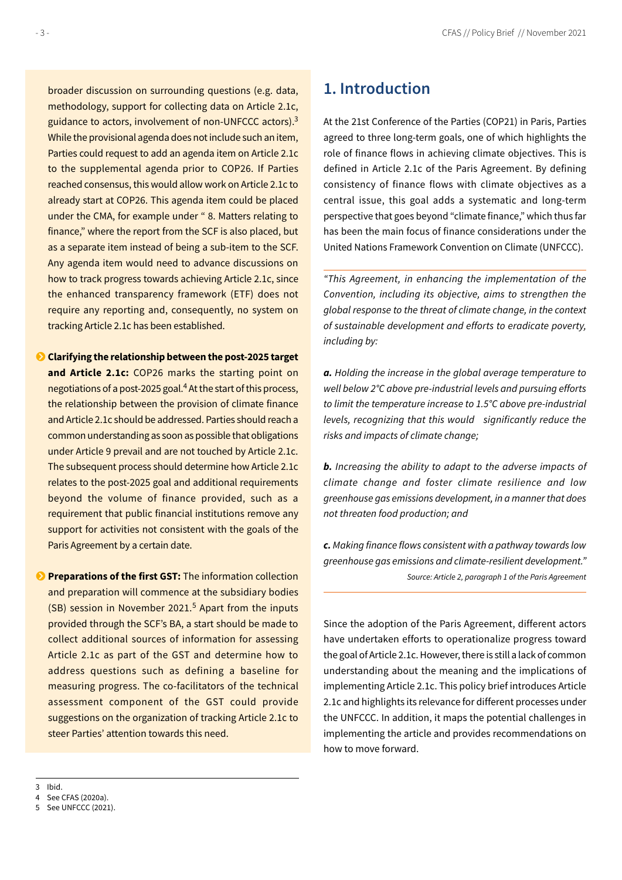<span id="page-2-0"></span>broader discussion on surrounding questions (e.g. data, methodology, support for collecting data on Article 2.1c, guidance to actors, involvement of non-UNFCCC actors).<sup>3</sup> While the provisional agenda does not include such an item, Parties could request to add an agenda item on Article 2.1c to the supplemental agenda prior to COP26. If Parties reached consensus, this would allow work on Article 2.1c to already start at COP26. This agenda item could be placed under the CMA, for example under " 8. Matters relating to finance," where the report from the SCF is also placed, but as a separate item instead of being a sub-item to the SCF. Any agenda item would need to advance discussions on how to track progress towards achieving Article 2.1c, since the enhanced transparency framework (ETF) does not require any reporting and, consequently, no system on tracking Article 2.1c has been established.

 **Clarifying the relationship between the post-2025 target and Article 2.1c:** COP26 marks the starting point on negotiations of a post-2025 goal.<sup>4</sup> At the start of this process, the relationship between the provision of climate finance and Article 2.1c should be addressed. Parties should reach a common understanding as soon as possible that obligations under Article 9 prevail and are not touched by Article 2.1c. The subsequent process should determine how Article 2.1c relates to the post-2025 goal and additional requirements beyond the volume of finance provided, such as a requirement that public financial institutions remove any support for activities not consistent with the goals of the Paris Agreement by a certain date.

**Preparations of the first GST:** The information collection and preparation will commence at the subsidiary bodies (SB) session in November 2021.<sup>5</sup> Apart from the inputs provided through the SCF's BA, a start should be made to collect additional sources of information for assessing Article 2.1c as part of the GST and determine how to address questions such as defining a baseline for measuring progress. The co-facilitators of the technical assessment component of the GST could provide suggestions on the organization of tracking Article 2.1c to steer Parties' attention towards this need.

# **1. Introduction**

At the 21st Conference of the Parties (COP21) in Paris, Parties agreed to three long-term goals, one of which highlights the role of finance flows in achieving climate objectives. This is defined in Article 2.1c of the Paris Agreement. By defining consistency of finance flows with climate objectives as a central issue, this goal adds a systematic and long-term perspective that goes beyond "climate finance," which thus far has been the main focus of finance considerations under the United Nations Framework Convention on Climate (UNFCCC).

*"This Agreement, in enhancing the implementation of the Convention, including its objective, aims to strengthen the global response to the threat of climate change, in the context of sustainable development and efforts to eradicate poverty, including by:* 

*a. Holding the increase in the global average temperature to well below 2°C above pre-industrial levels and pursuing efforts to limit the temperature increase to 1.5°C above pre-industrial levels, recognizing that this would significantly reduce the risks and impacts of climate change;* 

*b. Increasing the ability to adapt to the adverse impacts of climate change and foster climate resilience and low greenhouse gas emissions development, in a manner that does not threaten food production; and* 

*c. Making finance flows consistent with a pathway towards low greenhouse gas emissions and climate-resilient development." Source: Article 2, paragraph 1 of the Paris Agreement*

Since the adoption of the Paris Agreement, different actors have undertaken efforts to operationalize progress toward the goal of Article 2.1c. However, there is still a lack of common understanding about the meaning and the implications of implementing Article 2.1c. This policy brief introduces Article 2.1c and highlights its relevance for different processes under the UNFCCC. In addition, it maps the potential challenges in implementing the article and provides recommendations on how to move forward.

3 Ibid.

<sup>4</sup> See CFAS (2020a).

<sup>5</sup> See UNFCCC (2021).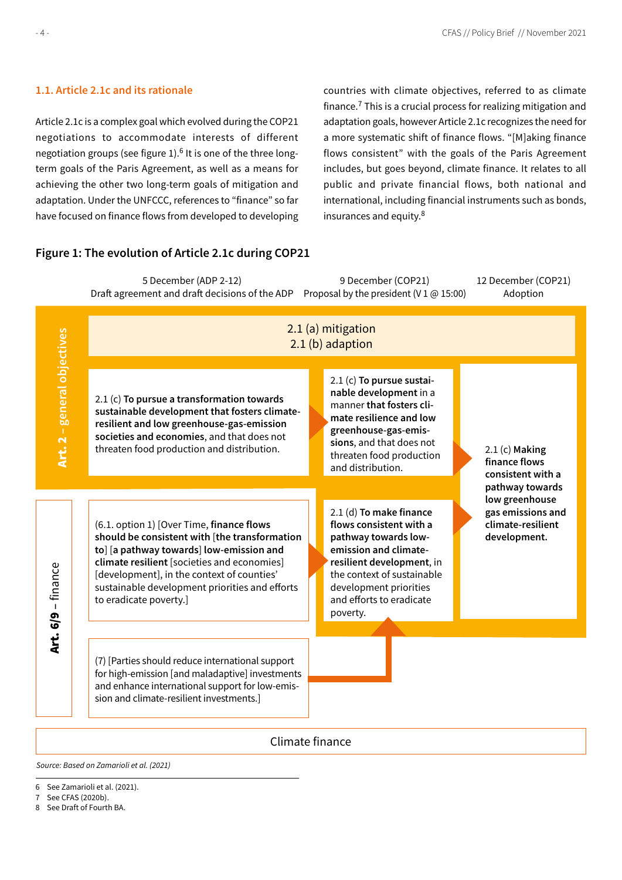# <span id="page-3-0"></span>**1.1. Article 2.1c and its rationale**

Article 2.1c is a complex goal which evolved during the COP21 negotiations to accommodate interests of different negotiation groups (see figure 1).<sup>6</sup> It is one of the three longterm goals of the Paris Agreement, as well as a means for achieving the other two long-term goals of mitigation and adaptation. Under the UNFCCC, references to "finance" so far have focused on finance flows from developed to developing countries with climate objectives, referred to as climate finance. $7$  This is a crucial process for realizing mitigation and adaptation goals, however Article 2.1c recognizes the need for a more systematic shift of finance flows. "[M]aking finance flows consistent" with the goals of the Paris Agreement includes, but goes beyond, climate finance. It relates to all public and private financial flows, both national and international, including financial instruments such as bonds, insurances and equity.8

# **Figure 1: The evolution of Article 2.1c during COP21**

2.1 (a) mitigation 2.1 (b) adaption 5 December (ADP 2-12) Draft agreement and draft decisions of the ADP 2.1 (c) **To pursue a transformation towards**  2.1 (c) **To pursue sustainable development** in a 9 December (COP21) Proposal by the president (V 1  $\omega$  15:00) 12 December (COP21) Adoption

Climate finance

Source: Based on Zamarioli et al. (2021)

- 7 See CFAS (2020b).
- 8 See Draft of Fourth BA.



<sup>6</sup> See Zamarioli et al. (2021).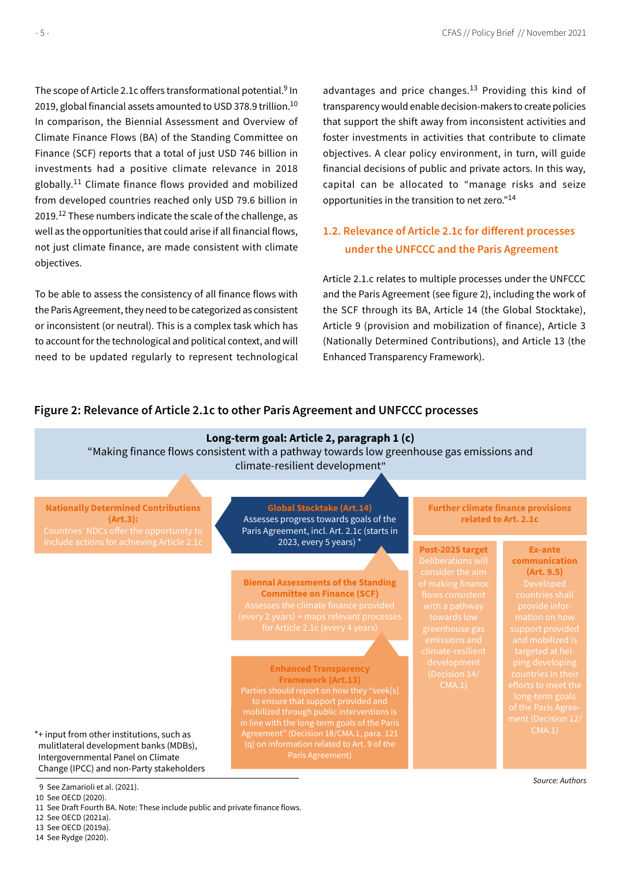<span id="page-4-0"></span>The scope of Article 2.1c offers transformational potential.<sup>9</sup> In 2019, global financial assets amounted to USD 378.9 trillion.<sup>10</sup> In comparison, the Biennial Assessment and Overview of Climate Finance Flows (BA) of the Standing Committee on Finance (SCF) reports that a total of just USD 746 billion in investments had a positive climate relevance in 2018 globally.11 Climate finance flows provided and mobilized from developed countries reached only USD 79.6 billion in 2019.<sup>12</sup> These numbers indicate the scale of the challenge, as well as the opportunities that could arise if all financial flows, not just climate finance, are made consistent with climate objectives.

To be able to assess the consistency of all finance flows with the Paris Agreement, they need to be categorized as consistent or inconsistent (or neutral). This is a complex task which has to account for the technological and political context, and will need to be updated regularly to represent technological advantages and price changes. $13$  Providing this kind of transparency would enable decision-makers to create policies that support the shift away from inconsistent activities and foster investments in activities that contribute to climate objectives. A clear policy environment, in turn, will guide financial decisions of public and private actors. In this way, capital can be allocated to "manage risks and seize opportunities in the transition to net zero."14

# **1.2. Relevance of Article 2.1c for different processes under the UNFCCC and the Paris Agreement**

Article 2.1.c relates to multiple processes under the UNFCCC and the Paris Agreement (see figure 2), including the work of the SCF through its BA, Article 14 (the Global Stocktake), Article 9 (provision and mobilization of finance), Article 3 (Nationally Determined Contributions), and Article 13 (the Enhanced Transparency Framework).

# **Figure 2: Relevance of Article 2.1c to other Paris Agreement and UNFCCC processes**

# **Long-term goal: Article 2, paragraph 1 (c)**

"Making finance flows consistent with a pathway towards low greenhouse gas emissions and climate-resilient development"

**Nationally Determined Contributions (Art.3):**

**Global Stocktake (Art.14)** Assesses progress towards goals of the Paris Agreement, incl. Art. 2.1c (starts in 2023, every 5 years) \*

**Biennal Assessments of the Standing Committee on Finance (SCF)**

**Enhanced Transparency Framework (Art.13)** to ensure that support provided and mobilized through public interventions is Agreement" (Decision 18/CMA.1, para. 121 **Further climate finance provisions related to Art. 2.1c**

**Post-2025 target** consider the aim

**Ex-ante communication (Art. 9.5)**

\*+ input from other institutions, such as mulitlateral development banks (MDBs), Intergovernmental Panel on Climate Change (IPCC) and non-Party stakeholders

9 See Zamarioli et al. (2021).

10 See OECD (2020).

11 See Draft Fourth BA. Note: These include public and private finance flows.

12 See OECD (2021a).

13 See OECD (2019a).

14 See Rydge (2020).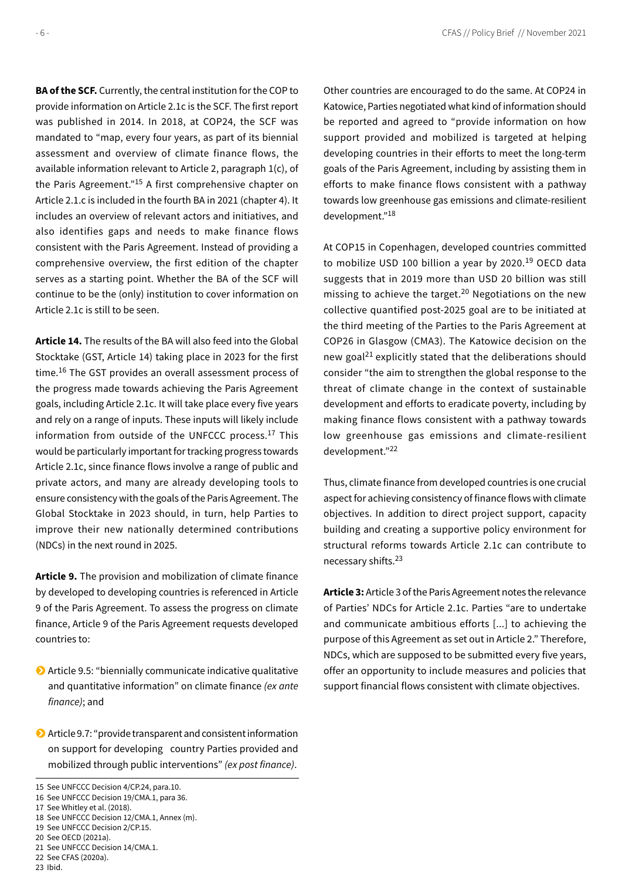**BA of the SCF.** Currently, the central institution for the COP to provide information on Article 2.1c is the SCF. The first report was published in 2014. In 2018, at COP24, the SCF was mandated to "map, every four years, as part of its biennial assessment and overview of climate finance flows, the available information relevant to Article 2, paragraph 1(c), of the Paris Agreement."15 A first comprehensive chapter on Article 2.1.c is included in the fourth BA in 2021 (chapter 4). It includes an overview of relevant actors and initiatives, and also identifies gaps and needs to make finance flows consistent with the Paris Agreement. Instead of providing a comprehensive overview, the first edition of the chapter serves as a starting point. Whether the BA of the SCF will continue to be the (only) institution to cover information on Article 2.1c is still to be seen.

**Article 14.** The results of the BA will also feed into the Global Stocktake (GST, Article 14) taking place in 2023 for the first time.16 The GST provides an overall assessment process of the progress made towards achieving the Paris Agreement goals, including Article 2.1c. It will take place every five years and rely on a range of inputs. These inputs will likely include information from outside of the UNFCCC process.17 This would be particularly important for tracking progress towards Article 2.1c, since finance flows involve a range of public and private actors, and many are already developing tools to ensure consistency with the goals of the Paris Agreement. The Global Stocktake in 2023 should, in turn, help Parties to improve their new nationally determined contributions (NDCs) in the next round in 2025.

**Article 9.** The provision and mobilization of climate finance by developed to developing countries is referenced in Article 9 of the Paris Agreement. To assess the progress on climate finance, Article 9 of the Paris Agreement requests developed countries to:

- Article 9.5: "biennially communicate indicative qualitative and quantitative information" on climate finance *(ex ante finance)*; and
- Article 9.7: "provide transparent and consistent information on support for developing country Parties provided and mobilized through public interventions" *(ex post finance)*.

18 See UNFCCC Decision 12/CMA.1, Annex (m). 19 See UNFCCC Decision 2/CP.15.

21 See UNFCCC Decision 14/CMA.1.

23 Ibid.

Other countries are encouraged to do the same. At COP24 in Katowice, Parties negotiated what kind of information should be reported and agreed to "provide information on how support provided and mobilized is targeted at helping developing countries in their efforts to meet the long-term goals of the Paris Agreement, including by assisting them in efforts to make finance flows consistent with a pathway towards low greenhouse gas emissions and climate-resilient development."18

At COP15 in Copenhagen, developed countries committed to mobilize USD 100 billion a year by 2020.<sup>19</sup> OECD data suggests that in 2019 more than USD 20 billion was still missing to achieve the target.<sup>20</sup> Negotiations on the new collective quantified post-2025 goal are to be initiated at the third meeting of the Parties to the Paris Agreement at COP26 in Glasgow (CMA3). The Katowice decision on the new goal<sup>21</sup> explicitly stated that the deliberations should consider "the aim to strengthen the global response to the threat of climate change in the context of sustainable development and efforts to eradicate poverty, including by making finance flows consistent with a pathway towards low greenhouse gas emissions and climate-resilient development."<sup>22</sup>

Thus, climate finance from developed countries is one crucial aspect for achieving consistency of finance flows with climate objectives. In addition to direct project support, capacity building and creating a supportive policy environment for structural reforms towards Article 2.1c can contribute to necessary shifts.23

**Article 3:** Article 3 of the Paris Agreement notes the relevance of Parties' NDCs for Article 2.1c. Parties "are to undertake and communicate ambitious efforts [...] to achieving the purpose of this Agreement as set out in Article 2." Therefore, NDCs, which are supposed to be submitted every five years, offer an opportunity to include measures and policies that support financial flows consistent with climate objectives.

<sup>15</sup> See UNFCCC Decision 4/CP.24, para.10.

<sup>16</sup> See UNFCCC Decision 19/CMA.1, para 36.

<sup>17</sup> See Whitley et al. (2018).

<sup>20</sup> See OECD (2021a).

<sup>22</sup> See CFAS (2020a).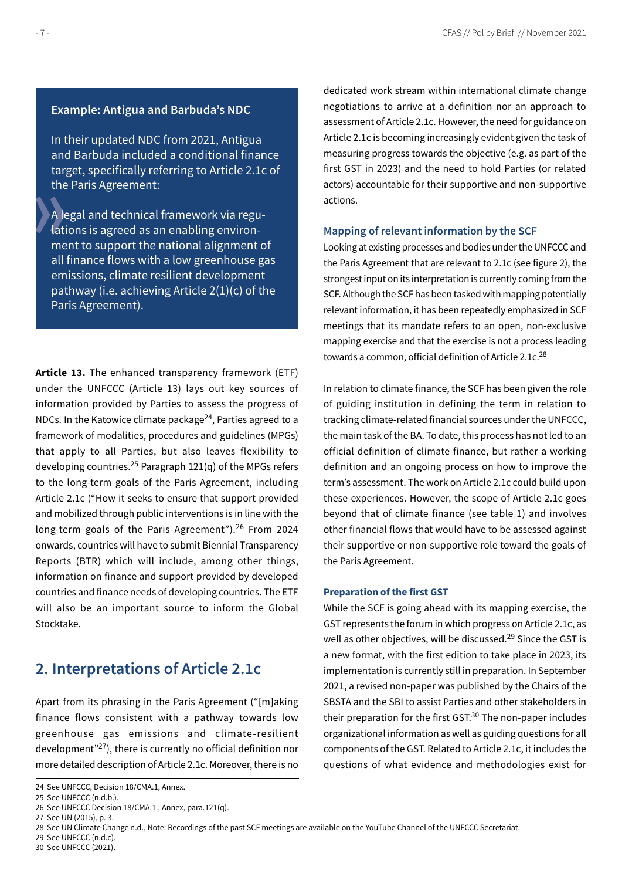# <span id="page-6-0"></span>**Example: Antigua and Barbuda's NDC**

In their updated NDC from 2021, Antigua and Barbuda included a conditional finance target, specifically referring to Article 2.1c of the Paris Agreement:

A legal and technical framework via regulations is agreed as an enabling environment to support the national alignment of all finance flows with a low greenhouse gas emissions, climate resilient development pathway (i.e. achieving Article 2(1)(c) of the Paris Agreement).

**Article 13.** The enhanced transparency framework (ETF) under the UNFCCC (Article 13) lays out key sources of information provided by Parties to assess the progress of NDCs. In the Katowice climate package<sup>24</sup>, Parties agreed to a framework of modalities, procedures and guidelines (MPGs) that apply to all Parties, but also leaves flexibility to developing countries.<sup>25</sup> Paragraph  $121(q)$  of the MPGs refers to the long-term goals of the Paris Agreement, including Article 2.1c ("How it seeks to ensure that support provided and mobilized through public interventions is in line with the long-term goals of the Paris Agreement").<sup>26</sup> From 2024 onwards, countries will have to submit Biennial Transparency Reports (BTR) which will include, among other things, information on finance and support provided by developed countries and finance needs of developing countries. The ETF will also be an important source to inform the Global Stocktake.

# **2. Interpretations of Article 2.1c**

Apart from its phrasing in the Paris Agreement ("[m]aking finance flows consistent with a pathway towards low greenhouse gas emissions and climate-resilient development $^{27}$ ), there is currently no official definition nor more detailed description of Article 2.1c. Moreover, there is no

27 See UN (2015), p. 3.

29 See UNFCCC (n.d.c). 30 See UNFCCC (2021). dedicated work stream within international climate change negotiations to arrive at a definition nor an approach to assessment of Article 2.1c. However, the need for guidance on Article 2.1c is becoming increasingly evident given the task of measuring progress towards the objective (e.g. as part of the first GST in 2023) and the need to hold Parties (or related actors) accountable for their supportive and non-supportive actions.

#### **Mapping of relevant information by the SCF**

Looking at existing processes and bodies under the UNFCCC and the Paris Agreement that are relevant to 2.1c (see figure 2), the strongest input on its interpretation is currently coming from the SCF. Although the SCF has been tasked with mapping potentially relevant information, it has been repeatedly emphasized in SCF meetings that its mandate refers to an open, non-exclusive mapping exercise and that the exercise is not a process leading towards a common, official definition of Article 2.1c.<sup>28</sup>

In relation to climate finance, the SCF has been given the role of guiding institution in defining the term in relation to tracking climate-related financial sources under the UNFCCC, the main task of the BA. To date, this process has not led to an official definition of climate finance, but rather a working definition and an ongoing process on how to improve the term's assessment. The work on Article 2.1c could build upon these experiences. However, the scope of Article 2.1c goes beyond that of climate finance (see table 1) and involves other financial flows that would have to be assessed against their supportive or non-supportive role toward the goals of the Paris Agreement.

#### **Preparation of the first GST**

While the SCF is going ahead with its mapping exercise, the GST represents the forum in which progress on Article 2.1c, as well as other objectives, will be discussed.<sup>29</sup> Since the GST is a new format, with the first edition to take place in 2023, its implementation is currently still in preparation. In September 2021, a revised non-paper was published by the Chairs of the SBSTA and the SBI to assist Parties and other stakeholders in their preparation for the first GST.<sup>30</sup> The non-paper includes organizational information as well as guiding questions for all components of the GST. Related to Article 2.1c, it includes the questions of what evidence and methodologies exist for

<sup>24</sup> See UNFCCC, Decision 18/CMA.1, Annex.

<sup>25</sup> See UNFCCC (n.d.b.).

<sup>26</sup> See UNFCCC Decision 18/CMA.1., Annex, para.121(q).

<sup>28</sup> See UN Climate Change n.d., Note: Recordings of the past SCF meetings are available on the YouTube Channel of the UNFCCC Secretariat.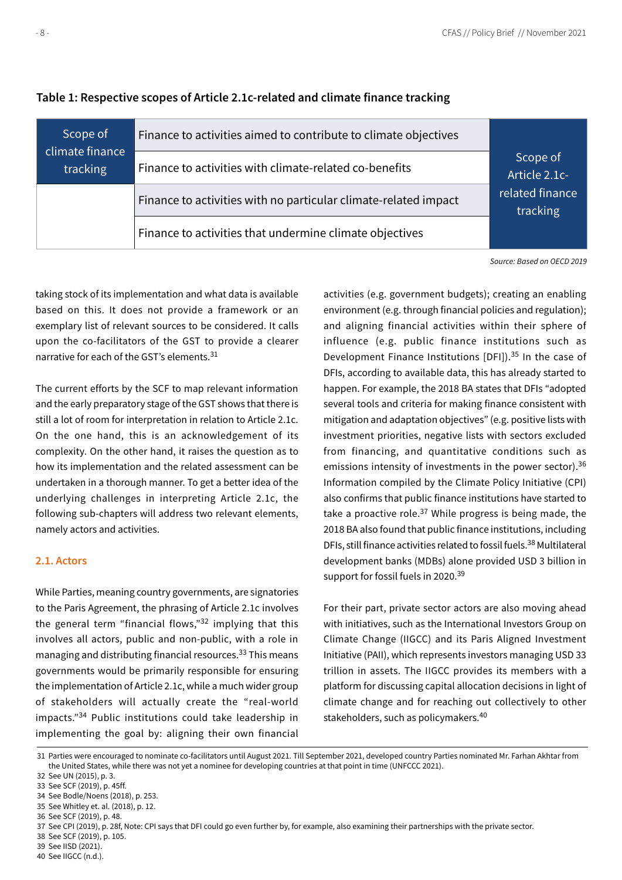| Scope of                    | Finance to activities aimed to contribute to climate objectives |                             |
|-----------------------------|-----------------------------------------------------------------|-----------------------------|
| climate finance<br>tracking | Finance to activities with climate-related co-benefits          | Scope of<br>Article 2.1c-   |
|                             | Finance to activities with no particular climate-related impact | related finance<br>tracking |
|                             | Finance to activities that undermine climate objectives         |                             |

# <span id="page-7-0"></span>**Table 1: Respective scopes of Article 2.1c-related and climate finance tracking**

Source: Based on OECD 2019

taking stock of its implementation and what data is available based on this. It does not provide a framework or an exemplary list of relevant sources to be considered. It calls upon the co-facilitators of the GST to provide a clearer narrative for each of the GST's elements.31

The current efforts by the SCF to map relevant information and the early preparatory stage of the GST shows that there is still a lot of room for interpretation in relation to Article 2.1c. On the one hand, this is an acknowledgement of its complexity. On the other hand, it raises the question as to how its implementation and the related assessment can be undertaken in a thorough manner. To get a better idea of the underlying challenges in interpreting Article 2.1c, the following sub-chapters will address two relevant elements, namely actors and activities.

### **2.1. Actors**

While Parties, meaning country governments, are signatories to the Paris Agreement, the phrasing of Article 2.1c involves the general term "financial flows," $32$  implying that this involves all actors, public and non-public, with a role in managing and distributing financial resources.<sup>33</sup> This means governments would be primarily responsible for ensuring the implementation of Article 2.1c, while a much wider group of stakeholders will actually create the "real-world impacts."34 Public institutions could take leadership in implementing the goal by: aligning their own financial

activities (e.g. government budgets); creating an enabling environment (e.g. through financial policies and regulation); and aligning financial activities within their sphere of influence (e.g. public finance institutions such as Development Finance Institutions [DFI]).35 In the case of DFIs, according to available data, this has already started to happen. For example, the 2018 BA states that DFIs "adopted several tools and criteria for making finance consistent with mitigation and adaptation objectives" (e.g. positive lists with investment priorities, negative lists with sectors excluded from financing, and quantitative conditions such as emissions intensity of investments in the power sector).<sup>36</sup> Information compiled by the Climate Policy Initiative (CPI) also confirms that public finance institutions have started to take a proactive role.<sup>37</sup> While progress is being made, the 2018 BA also found that public finance institutions, including DFIs, still finance activities related to fossil fuels.38 Multilateral development banks (MDBs) alone provided USD 3 billion in support for fossil fuels in 2020.<sup>39</sup>

For their part, private sector actors are also moving ahead with initiatives, such as the International Investors Group on Climate Change (IIGCC) and its Paris Aligned Investment Initiative (PAII), which represents investors managing USD 33 trillion in assets. The IIGCC provides its members with a platform for discussing capital allocation decisions in light of climate change and for reaching out collectively to other stakeholders, such as policymakers.40

31 Parties were encouraged to nominate co-facilitators until August 2021. Till September 2021, developed country Parties nominated Mr. Farhan Akhtar from the United States, while there was not yet a nominee for developing countries at that point in time (UNFCCC 2021).

<sup>32</sup> See UN (2015), p. 3.

<sup>33</sup> See SCF (2019), p. 45ff.

<sup>34</sup> See Bodle/Noens (2018), p. 253.

<sup>35</sup> See Whitley et. al. (2018), p. 12.

<sup>36</sup> See SCF (2019), p. 48.

<sup>37</sup> See CPI (2019), p. 28f, Note: CPI says that DFI could go even further by, for example, also examining their partnerships with the private sector.

<sup>38</sup> See SCF (2019), p. 105.

<sup>39</sup> See IISD (2021).

<sup>40</sup> See IIGCC (n.d.).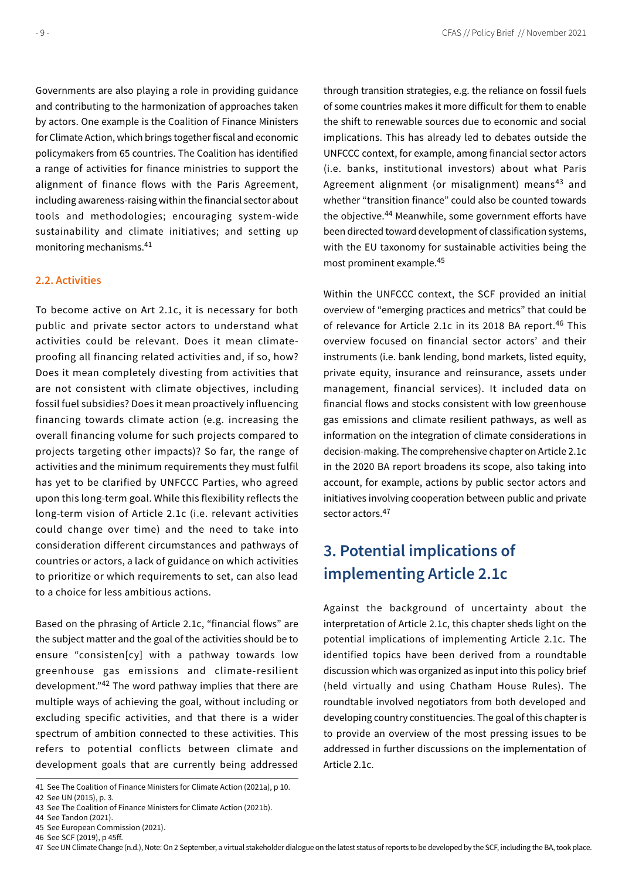<span id="page-8-0"></span>Governments are also playing a role in providing guidance and contributing to the harmonization of approaches taken by actors. One example is the Coalition of Finance Ministers for Climate Action, which brings together fiscal and economic policymakers from 65 countries. The Coalition has identified a range of activities for finance ministries to support the alignment of finance flows with the Paris Agreement, including awareness-raising within the financial sector about tools and methodologies; encouraging system-wide sustainability and climate initiatives; and setting up monitoring mechanisms.41

#### **2.2. Activities**

To become active on Art 2.1c, it is necessary for both public and private sector actors to understand what activities could be relevant. Does it mean climateproofing all financing related activities and, if so, how? Does it mean completely divesting from activities that are not consistent with climate objectives, including fossil fuel subsidies? Does it mean proactively influencing financing towards climate action (e.g. increasing the overall financing volume for such projects compared to projects targeting other impacts)? So far, the range of activities and the minimum requirements they must fulfil has yet to be clarified by UNFCCC Parties, who agreed upon this long-term goal. While this flexibility reflects the long-term vision of Article 2.1c (i.e. relevant activities could change over time) and the need to take into consideration different circumstances and pathways of countries or actors, a lack of guidance on which activities to prioritize or which requirements to set, can also lead to a choice for less ambitious actions.

Based on the phrasing of Article 2.1c, "financial flows" are the subject matter and the goal of the activities should be to ensure "consisten[cy] with a pathway towards low greenhouse gas emissions and climate-resilient development."42 The word pathway implies that there are multiple ways of achieving the goal, without including or excluding specific activities, and that there is a wider spectrum of ambition connected to these activities. This refers to potential conflicts between climate and development goals that are currently being addressed through transition strategies, e.g. the reliance on fossil fuels of some countries makes it more difficult for them to enable the shift to renewable sources due to economic and social implications. This has already led to debates outside the UNFCCC context, for example, among financial sector actors (i.e. banks, institutional investors) about what Paris Agreement alignment (or misalignment) means<sup>43</sup> and whether "transition finance" could also be counted towards the objective.<sup>44</sup> Meanwhile, some government efforts have been directed toward development of classification systems, with the EU taxonomy for sustainable activities being the most prominent example.45

Within the UNFCCC context, the SCF provided an initial overview of "emerging practices and metrics" that could be of relevance for Article 2.1c in its 2018 BA report.<sup>46</sup> This overview focused on financial sector actors' and their instruments (i.e. bank lending, bond markets, listed equity, private equity, insurance and reinsurance, assets under management, financial services). It included data on financial flows and stocks consistent with low greenhouse gas emissions and climate resilient pathways, as well as information on the integration of climate considerations in decision-making. The comprehensive chapter on Article 2.1c in the 2020 BA report broadens its scope, also taking into account, for example, actions by public sector actors and initiatives involving cooperation between public and private sector actors.<sup>47</sup>

# **3. Potential implications of implementing Article 2.1c**

Against the background of uncertainty about the interpretation of Article 2.1c, this chapter sheds light on the potential implications of implementing Article 2.1c. The identified topics have been derived from a roundtable discussion which was organized as input into this policy brief (held virtually and using Chatham House Rules). The roundtable involved negotiators from both developed and developing country constituencies. The goal of this chapter is to provide an overview of the most pressing issues to be addressed in further discussions on the implementation of Article 2.1c.

<sup>41</sup> See The Coalition of Finance Ministers for Climate Action (2021a), p 10.

<sup>42</sup> See UN (2015), p. 3.

<sup>43</sup> See The Coalition of Finance Ministers for Climate Action (2021b).

<sup>44</sup> See Tandon (2021).

<sup>45</sup> See European Commission (2021). 46 See SCF (2019), p 45ff.

<sup>47</sup> See UN Climate Change (n.d.), Note: On 2 September, a virtual stakeholder dialogue on the latest status of reports to be developed by the SCF, including the BA, took place.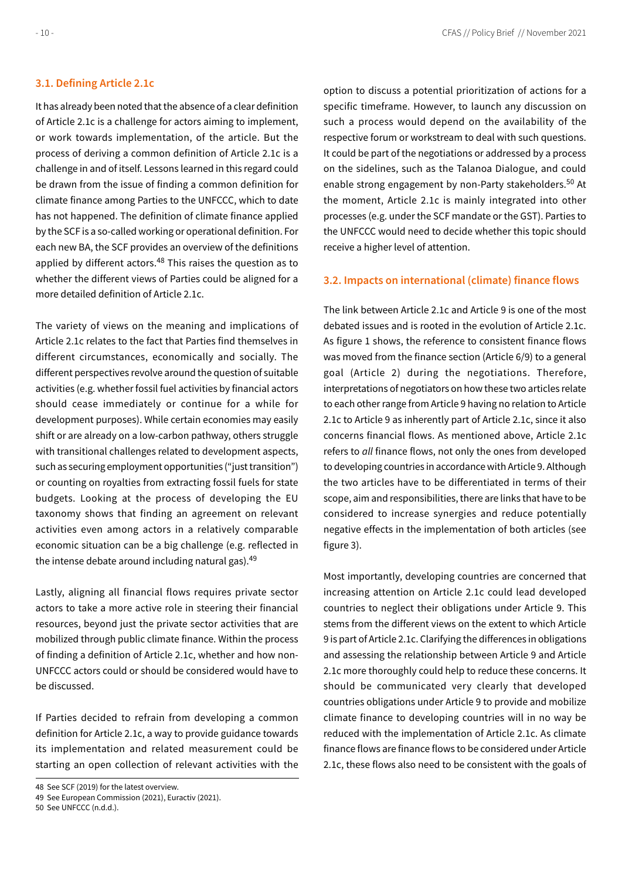#### <span id="page-9-0"></span>**3.1. Defining Article 2.1c**

It has already been noted that the absence of a clear definition of Article 2.1c is a challenge for actors aiming to implement, or work towards implementation, of the article. But the process of deriving a common definition of Article 2.1c is a challenge in and of itself. Lessons learned in this regard could be drawn from the issue of finding a common definition for climate finance among Parties to the UNFCCC, which to date has not happened. The definition of climate finance applied by the SCF is a so-called working or operational definition. For each new BA, the SCF provides an overview of the definitions applied by different actors. $48$  This raises the question as to whether the different views of Parties could be aligned for a more detailed definition of Article 2.1c.

The variety of views on the meaning and implications of Article 2.1c relates to the fact that Parties find themselves in different circumstances, economically and socially. The different perspectives revolve around the question of suitable activities (e.g. whether fossil fuel activities by financial actors should cease immediately or continue for a while for development purposes). While certain economies may easily shift or are already on a low-carbon pathway, others struggle with transitional challenges related to development aspects, such as securing employment opportunities ("just transition") or counting on royalties from extracting fossil fuels for state budgets. Looking at the process of developing the EU taxonomy shows that finding an agreement on relevant activities even among actors in a relatively comparable economic situation can be a big challenge (e.g. reflected in the intense debate around including natural gas).<sup>49</sup>

Lastly, aligning all financial flows requires private sector actors to take a more active role in steering their financial resources, beyond just the private sector activities that are mobilized through public climate finance. Within the process of finding a definition of Article 2.1c, whether and how non-UNFCCC actors could or should be considered would have to be discussed.

If Parties decided to refrain from developing a common definition for Article 2.1c, a way to provide guidance towards its implementation and related measurement could be starting an open collection of relevant activities with the option to discuss a potential prioritization of actions for a specific timeframe. However, to launch any discussion on such a process would depend on the availability of the respective forum or workstream to deal with such questions. It could be part of the negotiations or addressed by a process on the sidelines, such as the Talanoa Dialogue, and could enable strong engagement by non-Party stakeholders.<sup>50</sup> At the moment, Article 2.1c is mainly integrated into other processes (e.g. under the SCF mandate or the GST). Parties to the UNFCCC would need to decide whether this topic should receive a higher level of attention.

#### **3.2. Impacts on international (climate) finance flows**

The link between Article 2.1c and Article 9 is one of the most debated issues and is rooted in the evolution of Article 2.1c. As figure 1 shows, the reference to consistent finance flows was moved from the finance section (Article 6/9) to a general goal (Article 2) during the negotiations. Therefore, interpretations of negotiators on how these two articles relate to each other range from Article 9 having no relation to Article 2.1c to Article 9 as inherently part of Article 2.1c, since it also concerns financial flows. As mentioned above, Article 2.1c refers to *all* finance flows, not only the ones from developed to developing countries in accordance with Article 9. Although the two articles have to be differentiated in terms of their scope, aim and responsibilities, there are links that have to be considered to increase synergies and reduce potentially negative effects in the implementation of both articles (see figure 3).

Most importantly, developing countries are concerned that increasing attention on Article 2.1c could lead developed countries to neglect their obligations under Article 9. This stems from the different views on the extent to which Article 9 is part of Article 2.1c. Clarifying the differences in obligations and assessing the relationship between Article 9 and Article 2.1c more thoroughly could help to reduce these concerns. It should be communicated very clearly that developed countries obligations under Article 9 to provide and mobilize climate finance to developing countries will in no way be reduced with the implementation of Article 2.1c. As climate finance flows are finance flows to be considered under Article 2.1c, these flows also need to be consistent with the goals of

<sup>48</sup> See SCF (2019) for the latest overview.

<sup>49</sup> See European Commission (2021), Euractiv (2021).

<sup>50</sup> See UNFCCC (n.d.d.).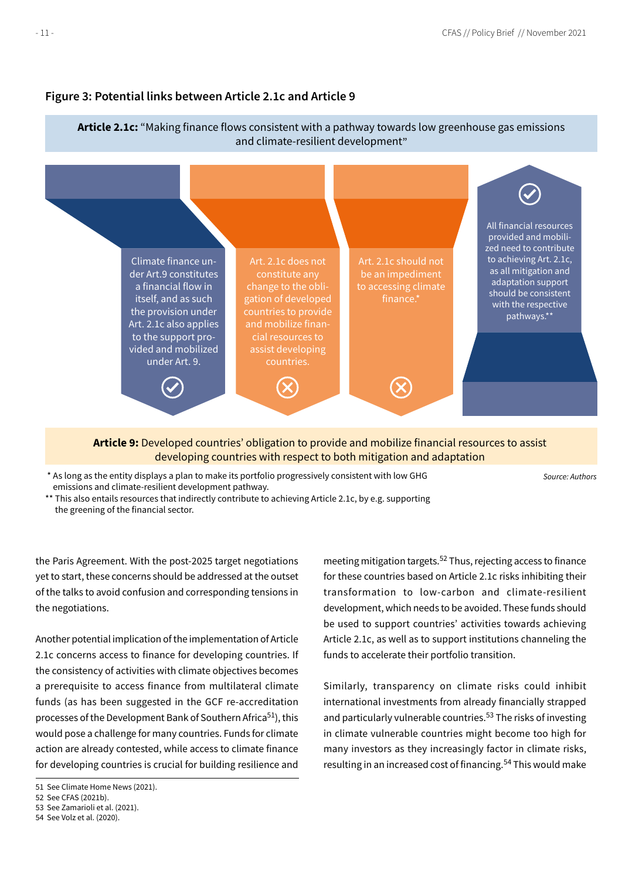

# **Figure 3: Potential links between Article 2.1c and Article 9**

**Article 9:** Developed countries' obligation to provide and mobilize financial resources to assist developing countries with respect to both mitigation and adaptation

 \* As long as the entity displays a plan to make its portfolio progressively consistent with low GHG emissions and climate-resilient development pathway.

Source: Authors

\*\* This also entails resources that indirectly contribute to achieving Article 2.1c, by e.g. supporting the greening of the financial sector.

the Paris Agreement. With the post-2025 target negotiations yet to start, these concerns should be addressed at the outset of the talks to avoid confusion and corresponding tensions in the negotiations.

Another potential implication of the implementation of Article 2.1c concerns access to finance for developing countries. If the consistency of activities with climate objectives becomes a prerequisite to access finance from multilateral climate funds (as has been suggested in the GCF re-accreditation processes of the Development Bank of Southern Africa<sup>51</sup>), this would pose a challenge for many countries. Funds for climate action are already contested, while access to climate finance for developing countries is crucial for building resilience and

52 See CFAS (2021b).

meeting mitigation targets.52 Thus, rejecting access to finance for these countries based on Article 2.1c risks inhibiting their transformation to low-carbon and climate-resilient development, which needs to be avoided. These funds should be used to support countries' activities towards achieving Article 2.1c, as well as to support institutions channeling the funds to accelerate their portfolio transition.

Similarly, transparency on climate risks could inhibit international investments from already financially strapped and particularly vulnerable countries.<sup>53</sup> The risks of investing in climate vulnerable countries might become too high for many investors as they increasingly factor in climate risks, resulting in an increased cost of financing.<sup>54</sup> This would make

<sup>51</sup> See Climate Home News (2021).

<sup>53</sup> See Zamarioli et al. (2021).

<sup>54</sup> See Volz et al. (2020).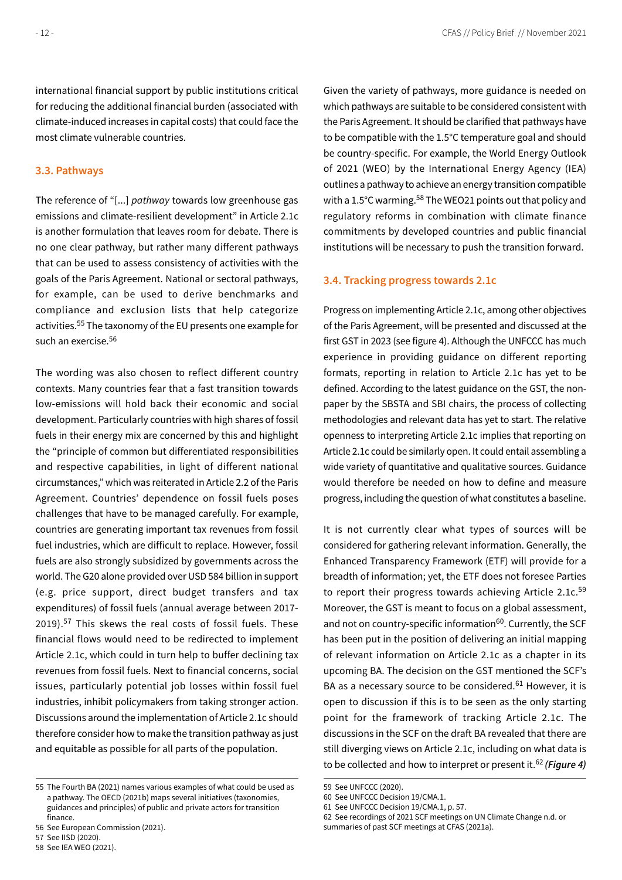<span id="page-11-0"></span>international financial support by public institutions critical for reducing the additional financial burden (associated with climate-induced increases in capital costs) that could face the most climate vulnerable countries.

#### **3.3. Pathways**

The reference of "[...] *pathway* towards low greenhouse gas emissions and climate-resilient development" in Article 2.1c is another formulation that leaves room for debate. There is no one clear pathway, but rather many different pathways that can be used to assess consistency of activities with the goals of the Paris Agreement. National or sectoral pathways, for example, can be used to derive benchmarks and compliance and exclusion lists that help categorize activities.55 The taxonomy of the EU presents one example for such an exercise.56

The wording was also chosen to reflect different country contexts. Many countries fear that a fast transition towards low-emissions will hold back their economic and social development. Particularly countries with high shares of fossil fuels in their energy mix are concerned by this and highlight the "principle of common but differentiated responsibilities and respective capabilities, in light of different national circumstances," which was reiterated in Article 2.2 of the Paris Agreement. Countries' dependence on fossil fuels poses challenges that have to be managed carefully. For example, countries are generating important tax revenues from fossil fuel industries, which are difficult to replace. However, fossil fuels are also strongly subsidized by governments across the world. The G20 alone provided over USD 584 billion in support (e.g. price support, direct budget transfers and tax expenditures) of fossil fuels (annual average between 2017- 2019).<sup>57</sup> This skews the real costs of fossil fuels. These financial flows would need to be redirected to implement Article 2.1c, which could in turn help to buffer declining tax revenues from fossil fuels. Next to financial concerns, social issues, particularly potential job losses within fossil fuel industries, inhibit policymakers from taking stronger action. Discussions around the implementation of Article 2.1c should therefore consider how to make the transition pathway as just and equitable as possible for all parts of the population.

56 See European Commission (2021).

Given the variety of pathways, more guidance is needed on which pathways are suitable to be considered consistent with the Paris Agreement. It should be clarified that pathways have to be compatible with the 1.5°C temperature goal and should be country-specific. For example, the World Energy Outlook of 2021 (WEO) by the International Energy Agency (IEA) outlines a pathway to achieve an energy transition compatible with a 1.5°C warming.<sup>58</sup> The WEO21 points out that policy and regulatory reforms in combination with climate finance commitments by developed countries and public financial institutions will be necessary to push the transition forward.

#### **3.4. Tracking progress towards 2.1c**

Progress on implementing Article 2.1c, among other objectives of the Paris Agreement, will be presented and discussed at the first GST in 2023 (see figure 4). Although the UNFCCC has much experience in providing guidance on different reporting formats, reporting in relation to Article 2.1c has yet to be defined. According to the latest guidance on the GST, the nonpaper by the SBSTA and SBI chairs, the process of collecting methodologies and relevant data has yet to start. The relative openness to interpreting Article 2.1c implies that reporting on Article 2.1c could be similarly open. It could entail assembling a wide variety of quantitative and qualitative sources. Guidance would therefore be needed on how to define and measure progress, including the question of what constitutes a baseline.

It is not currently clear what types of sources will be considered for gathering relevant information. Generally, the Enhanced Transparency Framework (ETF) will provide for a breadth of information; yet, the ETF does not foresee Parties to report their progress towards achieving Article 2.1c.<sup>59</sup> Moreover, the GST is meant to focus on a global assessment, and not on country-specific information<sup>60</sup>. Currently, the SCF has been put in the position of delivering an initial mapping of relevant information on Article 2.1c as a chapter in its upcoming BA. The decision on the GST mentioned the SCF's BA as a necessary source to be considered.<sup>61</sup> However, it is open to discussion if this is to be seen as the only starting point for the framework of tracking Article 2.1c. The discussions in the SCF on the draft BA revealed that there are still diverging views on Article 2.1c, including on what data is to be collected and how to interpret or present it.62 *(Figure 4)*

<sup>55</sup> The Fourth BA (2021) names various examples of what could be used as a pathway. The OECD (2021b) maps several initiatives (taxonomies, guidances and principles) of public and private actors for transition finance.

<sup>57</sup> See IISD (2020).

<sup>58</sup> See IEA WEO (2021).

<sup>59</sup> See UNFCCC (2020).

<sup>60</sup> See UNFCCC Decision 19/CMA.1.

<sup>61</sup> See UNFCCC Decision 19/CMA.1, p. 57.

<sup>62</sup> See recordings of 2021 SCF meetings on UN Climate Change n.d. or summaries of past SCF meetings at CFAS (2021a).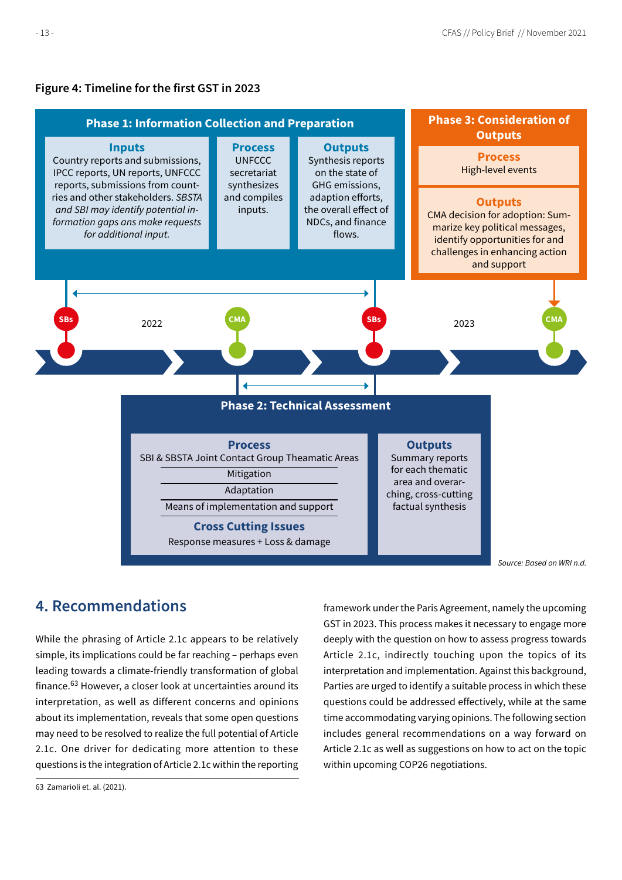### <span id="page-12-0"></span>**Figure 4: Timeline for the first GST in 2023**



Source: Based on WRI n.d.

# **4. Recommendations**

While the phrasing of Article 2.1c appears to be relatively simple, its implications could be far reaching – perhaps even leading towards a climate-friendly transformation of global finance.63 However, a closer look at uncertainties around its interpretation, as well as different concerns and opinions about its implementation, reveals that some open questions may need to be resolved to realize the full potential of Article 2.1c. One driver for dedicating more attention to these questions is the integration of Article 2.1c within the reporting framework under the Paris Agreement, namely the upcoming GST in 2023. This process makes it necessary to engage more deeply with the question on how to assess progress towards Article 2.1c, indirectly touching upon the topics of its interpretation and implementation. Against this background, Parties are urged to identify a suitable process in which these questions could be addressed effectively, while at the same time accommodating varying opinions. The following section includes general recommendations on a way forward on Article 2.1c as well as suggestions on how to act on the topic within upcoming COP26 negotiations.

<sup>63</sup> Zamarioli et. al. (2021).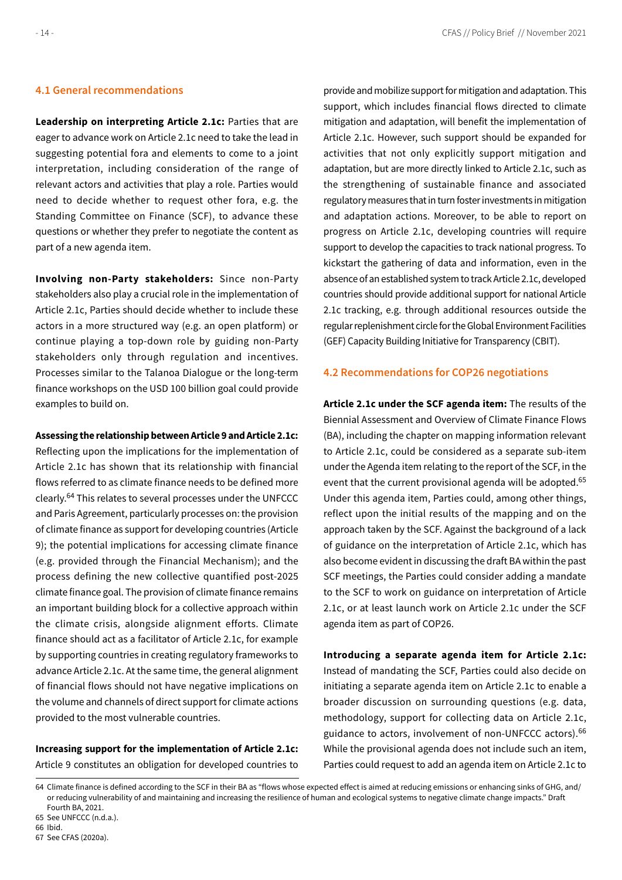### <span id="page-13-0"></span>**4.1 General recommendations**

**Leadership on interpreting Article 2.1c:** Parties that are eager to advance work on Article 2.1c need to take the lead in suggesting potential fora and elements to come to a joint interpretation, including consideration of the range of relevant actors and activities that play a role. Parties would need to decide whether to request other fora, e.g. the Standing Committee on Finance (SCF), to advance these questions or whether they prefer to negotiate the content as part of a new agenda item.

**Involving non-Party stakeholders:** Since non-Party stakeholders also play a crucial role in the implementation of Article 2.1c, Parties should decide whether to include these actors in a more structured way (e.g. an open platform) or continue playing a top-down role by guiding non-Party stakeholders only through regulation and incentives. Processes similar to the Talanoa Dialogue or the long-term finance workshops on the USD 100 billion goal could provide examples to build on.

**Assessing the relationship between Article 9 and Article 2.1c:** 

Reflecting upon the implications for the implementation of Article 2.1c has shown that its relationship with financial flows referred to as climate finance needs to be defined more clearly.64 This relates to several processes under the UNFCCC and Paris Agreement, particularly processes on: the provision of climate finance as support for developing countries (Article 9); the potential implications for accessing climate finance (e.g. provided through the Financial Mechanism); and the process defining the new collective quantified post-2025 climate finance goal. The provision of climate finance remains an important building block for a collective approach within the climate crisis, alongside alignment efforts. Climate finance should act as a facilitator of Article 2.1c, for example by supporting countries in creating regulatory frameworks to advance Article 2.1c. At the same time, the general alignment of financial flows should not have negative implications on the volume and channels of direct support for climate actions provided to the most vulnerable countries.

**Increasing support for the implementation of Article 2.1c:**  Article 9 constitutes an obligation for developed countries to

provide and mobilize support for mitigation and adaptation. This support, which includes financial flows directed to climate mitigation and adaptation, will benefit the implementation of Article 2.1c. However, such support should be expanded for activities that not only explicitly support mitigation and adaptation, but are more directly linked to Article 2.1c, such as the strengthening of sustainable finance and associated regulatory measures that in turn foster investments in mitigation and adaptation actions. Moreover, to be able to report on progress on Article 2.1c, developing countries will require support to develop the capacities to track national progress. To kickstart the gathering of data and information, even in the absence of an established system to track Article 2.1c, developed countries should provide additional support for national Article 2.1c tracking, e.g. through additional resources outside the regular replenishment circle for the Global Environment Facilities (GEF) Capacity Building Initiative for Transparency (CBIT).

#### **4.2 Recommendations for COP26 negotiations**

**Article 2.1c under the SCF agenda item:** The results of the Biennial Assessment and Overview of Climate Finance Flows (BA), including the chapter on mapping information relevant to Article 2.1c, could be considered as a separate sub-item under the Agenda item relating to the report of the SCF, in the event that the current provisional agenda will be adopted.<sup>65</sup> Under this agenda item, Parties could, among other things, reflect upon the initial results of the mapping and on the approach taken by the SCF. Against the background of a lack of guidance on the interpretation of Article 2.1c, which has also become evident in discussing the draft BA within the past SCF meetings, the Parties could consider adding a mandate to the SCF to work on guidance on interpretation of Article 2.1c, or at least launch work on Article 2.1c under the SCF agenda item as part of COP26.

**Introducing a separate agenda item for Article 2.1c:** Instead of mandating the SCF, Parties could also decide on initiating a separate agenda item on Article 2.1c to enable a broader discussion on surrounding questions (e.g. data, methodology, support for collecting data on Article 2.1c, guidance to actors, involvement of non-UNFCCC actors).<sup>66</sup> While the provisional agenda does not include such an item, Parties could request to add an agenda item on Article 2.1c to

<sup>64</sup> Climate finance is defined according to the SCF in their BA as "flows whose expected effect is aimed at reducing emissions or enhancing sinks of GHG, and/ or reducing vulnerability of and maintaining and increasing the resilience of human and ecological systems to negative climate change impacts." Draft Fourth BA, 2021.

<sup>65</sup> See UNFCCC (n.d.a.).

<sup>66</sup> Ibid.

<sup>67</sup> See CFAS (2020a).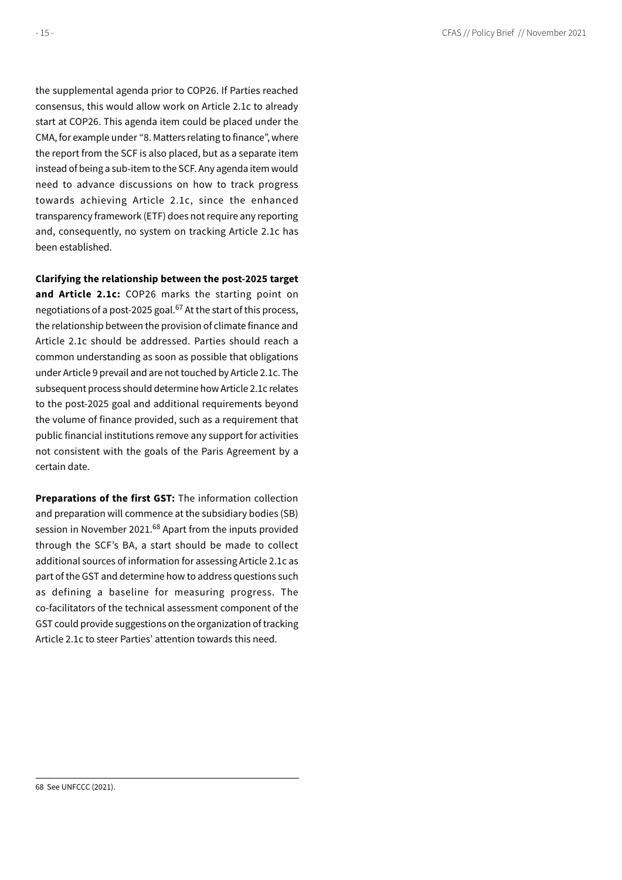the supplemental agenda prior to COP26. If Parties reached consensus, this would allow work on Article 2.1c to already start at COP26. This agenda item could be placed under the CMA, for example under "8. Matters relating to finance", where the report from the SCF is also placed, but as a separate item instead of being a sub-item to the SCF. Any agenda item would need to advance discussions on how to track progress towards achieving Article 2.1c, since the enhanced transparency framework (ETF) does not require any reporting and, consequently, no system on tracking Article 2.1c has been established.

#### **Clarifying the relationship between the post-2025 target**

**and Article 2.1c:** COP26 marks the starting point on negotiations of a post-2025 goal.<sup>67</sup> At the start of this process, the relationship between the provision of climate finance and Article 2.1c should be addressed. Parties should reach a common understanding as soon as possible that obligations under Article 9 prevail and are not touched by Article 2.1c. The subsequent process should determine how Article 2.1c relates to the post-2025 goal and additional requirements beyond the volume of finance provided, such as a requirement that public financial institutions remove any support for activities not consistent with the goals of the Paris Agreement by a certain date.

**Preparations of the first GST:** The information collection and preparation will commence at the subsidiary bodies (SB) session in November 2021.<sup>68</sup> Apart from the inputs provided through the SCF's BA, a start should be made to collect additional sources of information for assessing Article 2.1c as part of the GST and determine how to address questions such as defining a baseline for measuring progress. The co-facilitators of the technical assessment component of the GST could provide suggestions on the organization of tracking Article 2.1c to steer Parties' attention towards this need.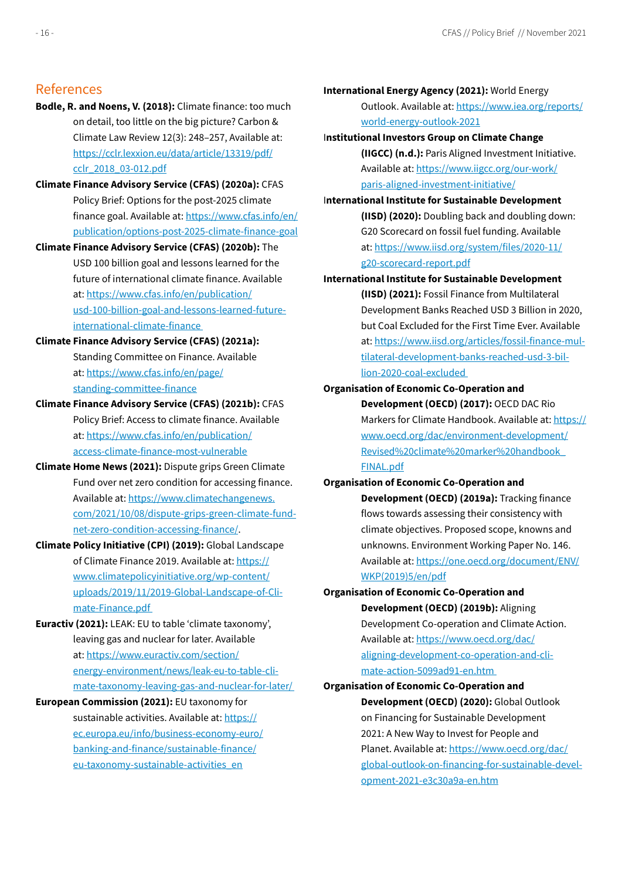# References

- **Bodle, R. and Noens, V. (2018):** Climate finance: too much on detail, too little on the big picture? Carbon & Climate Law Review 12(3): 248–257, Available at: https://cclr.lexxion.eu/data/article/13319/pdf/ cclr\_2018\_03-012.pdf
- **Climate Finance Advisory Service (CFAS) (2020a):** CFAS Policy Brief: Options for the post-2025 climate finance goal. Available at: https://www.cfas.info/en/ publication/options-post-2025-climate-finance-goal
- **Climate Finance Advisory Service (CFAS) (2020b):** The USD 100 billion goal and lessons learned for the future of international climate finance. Available at: https://www.cfas.info/en/publication/ usd-100-billion-goal-and-lessons-learned-futureinternational-climate-finance
- **Climate Finance Advisory Service (CFAS) (2021a):** Standing Committee on Finance. Available at: https://www.cfas.info/en/page/ standing-committee-finance
- **Climate Finance Advisory Service (CFAS) (2021b):** CFAS Policy Brief: Access to climate finance. Available at: https://www.cfas.info/en/publication/ access-climate-finance-most-vulnerable
- **Climate Home News (2021):** Dispute grips Green Climate Fund over net zero condition for accessing finance. Available at: https://www.climatechangenews. com/2021/10/08/dispute-grips-green-climate-fundnet-zero-condition-accessing-finance/.
- **Climate Policy Initiative (CPI) (2019):** Global Landscape of Climate Finance 2019. Available at: https:// www.climatepolicyinitiative.org/wp-content/ uploads/2019/11/2019-Global-Landscape-of-Climate-Finance.pdf
- **Euractiv (2021):** LEAK: EU to table 'climate taxonomy', leaving gas and nuclear for later. Available at: https://www.euractiv.com/section/ energy-environment/news/leak-eu-to-table-climate-taxonomy-leaving-gas-and-nuclear-for-later/
- **European Commission (2021):** EU taxonomy for sustainable activities. Available at: https:// ec.europa.eu/info/business-economy-euro/ banking-and-finance/sustainable-finance/ eu-taxonomy-sustainable-activities\_en

#### **International Energy Agency (2021):** World Energy

Outlook. Available at: https://www.iea.org/reports/ world-energy-outlook-2021

### I**nstitutional Investors Group on Climate Change**

**(IIGCC) (n.d.):** Paris Aligned Investment Initiative. Available at: https://www.iigcc.org/our-work/ paris-aligned-investment-initiative/

I**nternational Institute for Sustainable Development (IISD) (2020):** Doubling back and doubling down: G20 Scorecard on fossil fuel funding. Available at: https://www.iisd.org/system/files/2020-11/ g20-scorecard-report.pdf

**International Institute for Sustainable Development (IISD) (2021):** Fossil Finance from Multilateral Development Banks Reached USD 3 Billion in 2020, but Coal Excluded for the First Time Ever. Available at: https://www.iisd.org/articles/fossil-finance-multilateral-development-banks-reached-usd-3-billion-2020-coal-excluded

# **Organisation of Economic Co-Operation and Development (OECD) (2017):** OECD DAC Rio Markers for Climate Handbook. Available at: https:// www.oecd.org/dac/environment-development/ Revised%20climate%20marker%20handbook\_ FINAL.pdf

# **Organisation of Economic Co-Operation and Development (OECD) (2019a):** Tracking finance flows towards assessing their consistency with climate objectives. Proposed scope, knowns and unknowns. Environment Working Paper No. 146. Available at: https://one.oecd.org/document/ENV/ WKP(2019)5/en/pdf

**Organisation of Economic Co-Operation and Development (OECD) (2019b):** Aligning Development Co-operation and Climate Action. Available at: https://www.oecd.org/dac/ aligning-development-co-operation-and-climate-action-5099ad91-en.htm

# **Organisation of Economic Co-Operation and Development (OECD) (2020):** Global Outlook on Financing for Sustainable Development 2021: A New Way to Invest for People and Planet. Available at: https://www.oecd.org/dac/ global-outlook-on-financing-for-sustainable-development-2021-e3c30a9a-en.htm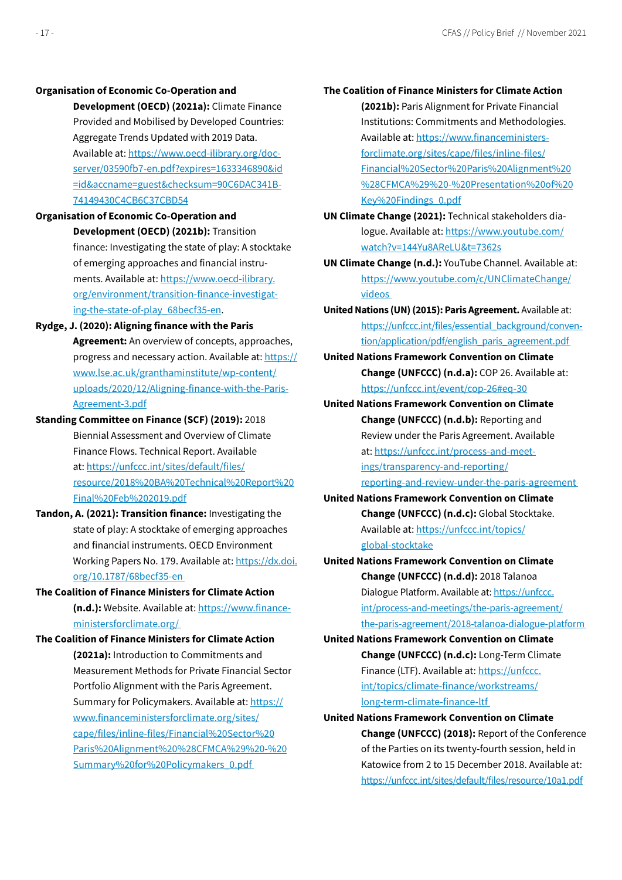#### **Organisation of Economic Co-Operation and**

**Development (OECD) (2021a):** Climate Finance Provided and Mobilised by Developed Countries: Aggregate Trends Updated with 2019 Data. Available at: https://www.oecd-ilibrary.org/docserver/03590fb7-en.pdf?expires=1633346890&id =id&accname=guest&checksum=90C6DAC341B-74149430C4CB6C37CBD54

- **Organisation of Economic Co-Operation and Development (OECD) (2021b):** Transition finance: Investigating the state of play: A stocktake of emerging approaches and financial instruments. Available at: https://www.oecd-ilibrary. org/environment/transition-finance-investigating-the-state-of-play\_68becf35-en.
- **Rydge, J. (2020): Aligning finance with the Paris Agreement:** An overview of concepts, approaches, progress and necessary action. Available at: https:// www.lse.ac.uk/granthaminstitute/wp-content/ uploads/2020/12/Aligning-finance-with-the-Paris-Agreement-3.pdf
- **Standing Committee on Finance (SCF) (2019):** 2018 Biennial Assessment and Overview of Climate Finance Flows. Technical Report. Available at: https://unfccc.int/sites/default/files/ resource/2018%20BA%20Technical%20Report%20 Final%20Feb%202019.pdf
- **Tandon, A. (2021): Transition finance:** Investigating the state of play: A stocktake of emerging approaches and financial instruments. OECD Environment Working Papers No. 179. Available at: https://dx.doi. org/10.1787/68becf35-en
- **The Coalition of Finance Ministers for Climate Action (n.d.):** Website. Available at: https://www.financeministersforclimate.org/
- **The Coalition of Finance Ministers for Climate Action (2021a):** Introduction to Commitments and Measurement Methods for Private Financial Sector Portfolio Alignment with the Paris Agreement. Summary for Policymakers. Available at: https:// www.financeministersforclimate.org/sites/ cape/files/inline-files/Financial%20Sector%20 Paris%20Alignment%20%28CFMCA%29%20-%20 Summary%20for%20Policymakers\_0.pdf

# **The Coalition of Finance Ministers for Climate Action (2021b):** Paris Alignment for Private Financial Institutions: Commitments and Methodologies. Available at: https://www.financeministersforclimate.org/sites/cape/files/inline-files/ Financial%20Sector%20Paris%20Alignment%20 %28CFMCA%29%20-%20Presentation%20of%20

**UN Climate Change (2021):** Technical stakeholders dialogue. Available at: https://www.youtube.com/ watch?v=144Yu8AReLU&t=7362s

Key%20Findings\_0.pdf

- **UN Climate Change (n.d.):** YouTube Channel. Available at: https://www.youtube.com/c/UNClimateChange/ videos
- **United Nations (UN) (2015): Paris Agreement.** Available at: https://unfccc.int/files/essential\_background/convention/application/pdf/english\_paris\_agreement.pdf
- **United Nations Framework Convention on Climate Change (UNFCCC) (n.d.a):** COP 26. Available at: https://unfccc.int/event/cop-26#eq-30
- **United Nations Framework Convention on Climate Change (UNFCCC) (n.d.b):** Reporting and Review under the Paris Agreement. Available at: https://unfccc.int/process-and-meetings/transparency-and-reporting/ reporting-and-review-under-the-paris-agreement
- **United Nations Framework Convention on Climate Change (UNFCCC) (n.d.c):** Global Stocktake. Available at: https://unfccc.int/topics/ global-stocktake
- **United Nations Framework Convention on Climate Change (UNFCCC) (n.d.d):** 2018 Talanoa Dialogue Platform. Available at: https://unfccc. int/process-and-meetings/the-paris-agreement/ the-paris-agreement/2018-talanoa-dialogue-platform
- **United Nations Framework Convention on Climate Change (UNFCCC) (n.d.c):** Long-Term Climate Finance (LTF). Available at: https://unfccc. int/topics/climate-finance/workstreams/ long-term-climate-finance-ltf
- **United Nations Framework Convention on Climate Change (UNFCCC) (2018):** Report of the Conference of the Parties on its twenty-fourth session, held in Katowice from 2 to 15 December 2018. Available at: https://unfccc.int/sites/default/files/resource/10a1.pdf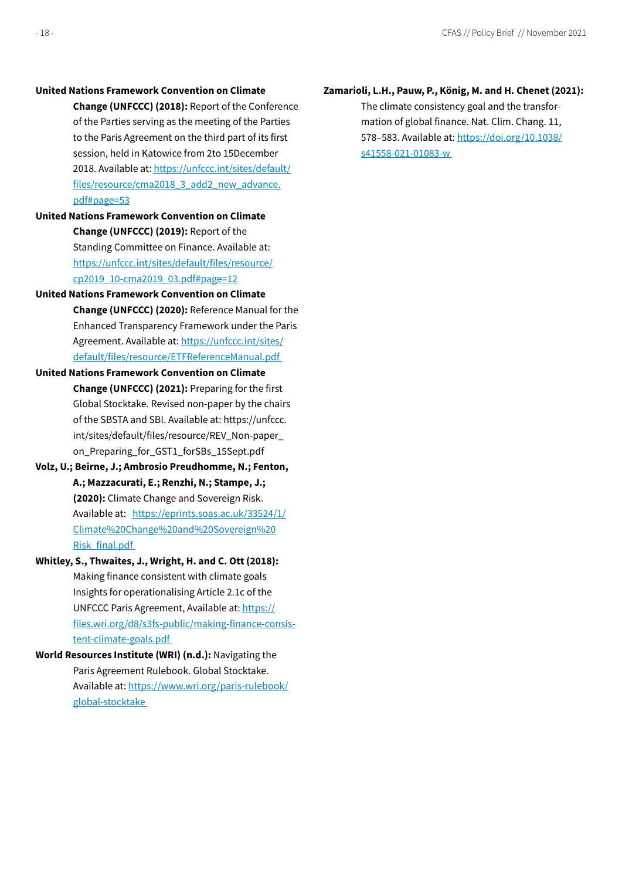#### **United Nations Framework Convention on Climate**

**Change (UNFCCC) (2018):** Report of the Conference of the Parties serving as the meeting of the Parties to the Paris Agreement on the third part of its first session, held in Katowice from 2to 15December 2018. Available at: https://unfccc.int/sites/default/ files/resource/cma2018\_3\_add2\_new\_advance. pdf#page=53

- **United Nations Framework Convention on Climate Change (UNFCCC) (2019):** Report of the Standing Committee on Finance. Available at: https://unfccc.int/sites/default/files/resource/ cp2019\_10-cma2019\_03.pdf#page=12
- **United Nations Framework Convention on Climate Change (UNFCCC) (2020):** Reference Manual for the Enhanced Transparency Framework under the Paris Agreement. Available at: https://unfccc.int/sites/ default/files/resource/ETFReferenceManual.pdf
- **United Nations Framework Convention on Climate Change (UNFCCC) (2021):** Preparing for the first Global Stocktake. Revised non-paper by the chairs of the SBSTA and SBI. Available at: https://unfccc. int/sites/default/files/resource/REV\_Non-paper\_ on\_Preparing\_for\_GST1\_forSBs\_15Sept.pdf
- **Volz, U.; Beirne, J.; Ambrosio Preudhomme, N.; Fenton, A.; Mazzacurati, E.; Renzhi, N.; Stampe, J.; (2020):** Climate Change and Sovereign Risk. Available at: https://eprints.soas.ac.uk/33524/1/ Climate%20Change%20and%20Sovereign%20 Risk\_final.pdf
- **Whitley, S., Thwaites, J., Wright, H. and C. Ott (2018):** Making finance consistent with climate goals Insights for operationalising Article 2.1c of the UNFCCC Paris Agreement, Available at: https:// files.wri.org/d8/s3fs-public/making-finance-consistent-climate-goals.pdf
- **World Resources Institute (WRI) (n.d.):** Navigating the Paris Agreement Rulebook. Global Stocktake. Available at: https://www.wri.org/paris-rulebook/ global-stocktake

### **Zamarioli, L.H., Pauw, P., König, M. and H. Chenet (2021):**

The climate consistency goal and the transformation of global finance. Nat. Clim. Chang. 11, 578–583. Available at: https://doi.org/10.1038/ s41558-021-01083-w